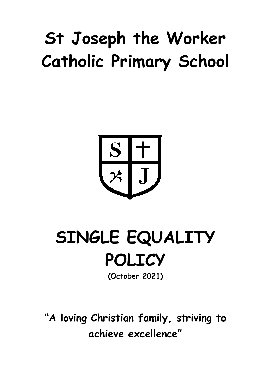# **St Joseph the Worker Catholic Primary School**



## **SINGLE EQUALITY POLICY**

**(October 2021)**

**"A loving Christian family, striving to achieve excellence"**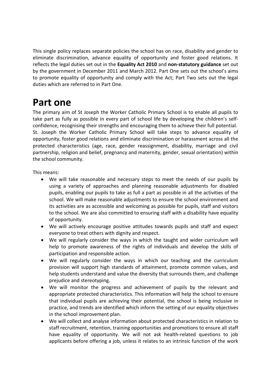This single policy replaces separate policies the school has on race, disability and gender to eliminate discrimination, advance equality of opportunity and foster good relations. It reflects the legal duties set out in the **Equality Act 2010** and **non-statutory guidance** set out by the government in December 2011 and March 2012. Part One sets out the school's aims to promote equality of opportunity and comply with the Act; Part Two sets out the legal duties which are referred to in Part One.

### **Part one**

The primary aim of St Joseph the Worker Catholic Primary School is to enable all pupils to take part as fully as possible in every part of school life by developing the children's selfconfidence, recognising their strengths and encouraging them to achieve their full potential. St. Joseph the Worker Catholic Primary School will take steps to advance equality of opportunity, foster good relations and eliminate discrimination or harassment across all the protected characteristics (age, race, gender reassignment, disability, marriage and civil partnership, religion and belief, pregnancy and maternity, gender, sexual orientation) within the school community.

This means:

- We will take reasonable and necessary steps to meet the needs of our pupils by using a variety of approaches and planning reasonable adjustments for disabled pupils, enabling our pupils to take as full a part as possible in all the activities of the school. We will make reasonable adjustments to ensure the school environment and its activities are as accessible and welcoming as possible for pupils, staff and visitors to the school. We are also committed to ensuring staff with a disability have equality of opportunity.
- We will actively encourage positive attitudes towards pupils and staff and expect everyone to treat others with dignity and respect.
- We will regularly consider the ways in which the taught and wider curriculum will help to promote awareness of the rights of individuals and develop the skills of participation and responsible action.
- We will regularly consider the ways in which our teaching and the curriculum provision will support high standards of attainment, promote common values, and help students understand and value the diversity that surrounds them, and challenge prejudice and stereotyping.
- We will monitor the progress and achievement of pupils by the relevant and appropriate protected characteristics. This information will help the school to ensure that individual pupils are achieving their potential, the school is being inclusive in practice, and trends are identified which inform the setting of our equality objectives in the school improvement plan.
- We will collect and analyse information about protected characteristics in relation to staff recruitment, retention, training opportunities and promotions to ensure all staff have equality of opportunity. We will not ask health-related questions to job applicants before offering a job, unless it relates to an intrinsic function of the work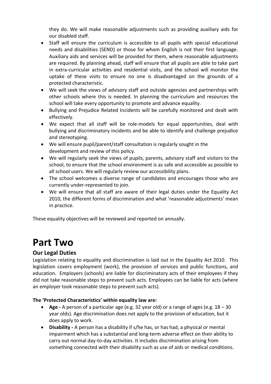they do. We will make reasonable adjustments such as providing auxiliary aids for our disabled staff.

- Staff will ensure the curriculum is accessible to all pupils with special educational needs and disabilities (SEND) or those for whom English is not their first language. Auxiliary aids and services will be provided for them, where reasonable adjustments are required. By planning ahead, staff will ensure that all pupils are able to take part in extra-curricular activities and residential visits, and the school will monitor the uptake of these visits to ensure no one is disadvantaged on the grounds of a protected characteristic.
- We will seek the views of advisory staff and outside agencies and partnerships with other schools where this is needed. In planning the curriculum and resources the school will take every opportunity to promote and advance equality.
- Bullying and Prejudice Related Incidents will be carefully monitored and dealt with effectively.
- We expect that all staff will be role-models for equal opportunities, deal with bullying and discriminatory incidents and be able to identify and challenge prejudice and stereotyping.
- We will ensure pupil/parent/staff consultation is regularly sought in the development and review of this policy.
- We will regularly seek the views of pupils, parents, advisory staff and visitors to the school, to ensure that the school environment is as safe and accessible as possible to all school users. We will regularly review our accessibility plans.
- The school welcomes a diverse range of candidates and encourages those who are currently under-represented to join.
- We will ensure that all staff are aware of their legal duties under the Equality Act 2010, the different forms of discrimination and what 'reasonable adjustments' mean in practice.

These equality objectives will be reviewed and reported on annually.

## **Part Two**

#### **Our Legal Duties**

Legislation relating to equality and discrimination is laid out in the Equality Act 2010. This legislation covers employment (work), the provision of services and public functions, and education. Employers (schools) are liable for discriminatory acts of their employees if they did not take reasonable steps to prevent such acts. Employees can be liable for acts (where an employer took reasonable steps to prevent such acts).

#### **The 'Protected Characteristics' within equality law are:**

- **Age -** A person of a particular age (e.g. 32 year old) or a range of ages (e.g. 18 30 year olds). Age discrimination does not apply to the provision of education, but it does apply to work.
- **Disability -** A person has a disability if s/he has, or has had, a physical or mental impairment which has a substantial and long-term adverse effect on their ability to carry out normal day-to-day activities. It includes discrimination arising from something connected with their disability such as use of aids or medical conditions.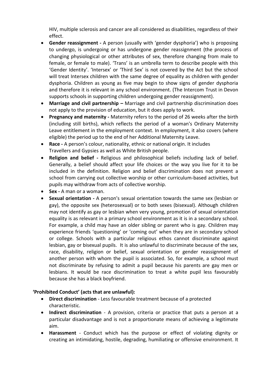HIV, multiple sclerosis and cancer are all considered as disabilities, regardless of their effect.

- **Gender reassignment -** A person (usually with 'gender dysphoria') who is proposing to undergo, is undergoing or has undergone gender reassignment (the process of changing physiological or other attributes of sex, therefore changing from male to female, or female to male). 'Trans' is an umbrella term to describe people with this 'Gender Identity'. 'Intersex' or 'Third Sex' is not covered by the Act but the school will treat Intersex children with the same degree of equality as children with gender dysphoria. Children as young as five may begin to show signs of gender dysphoria and therefore it is relevant in any school environment. (The Intercom Trust in Devon supports schools in supporting children undergoing gender reassignment).
- Marriage and civil partnership Marriage and civil partnership discrimination does not apply to the provision of education, but it does apply to work.
- **Pregnancy and maternity -** Maternity refers to the period of 26 weeks after the birth (including still births), which reflects the period of a woman's Ordinary Maternity Leave entitlement in the employment context. In employment, it also covers (where eligible) the period up to the end of her Additional Maternity Leave.
- **Race -** A person's colour, nationality, ethnic or national origin. It includes Travellers and Gypsies as well as White British people.
- **Religion and belief -** Religious and philosophical beliefs including lack of belief. Generally, a belief should affect your life choices or the way you live for it to be included in the definition. Religion and belief discrimination does not prevent a school from carrying out collective worship or other curriculum-based activities, but pupils may withdraw from acts of collective worship.
- **Sex -** A man or a woman.
- **Sexual orientation -** A person's sexual orientation towards the same sex (lesbian or gay), the opposite sex (heterosexual) or to both sexes (bisexual). Although children may not identify as gay or lesbian when very young, promotion of sexual orientation equality is as relevant in a primary school environment as it is in a secondary school. For example, a child may have an older sibling or parent who is gay. Children may experience friends 'questioning' or 'coming out' when they are in secondary school or college. Schools with a particular religious ethos cannot discriminate against lesbian, gay or bisexual pupils. It is also unlawful to discriminate because of the sex, race, disability, religion or belief, sexual orientation or gender reassignment of another person with whom the pupil is associated. So, for example, a school must not discriminate by refusing to admit a pupil because his parents are gay men or lesbians. It would be race discrimination to treat a white pupil less favourably because she has a black boyfriend.

#### **'Prohibited Conduct' (acts that are unlawful):**

- **Direct discrimination**  Less favourable treatment because of a protected characteristic.
- **Indirect discrimination**  A provision, criteria or practice that puts a person at a particular disadvantage and is not a proportionate means of achieving a legitimate aim.
- **Harassment**  Conduct which has the purpose or effect of violating dignity or creating an intimidating, hostile, degrading, humiliating or offensive environment. It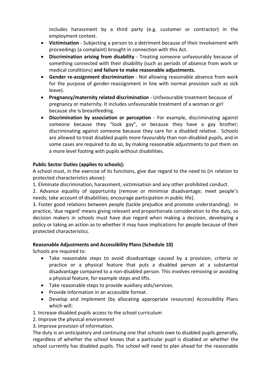includes harassment by a third party (e.g. customer or contractor) in the employment context.

- **Victimisation**  Subjecting a person to a detriment because of their involvement with proceedings (a complaint) brought in connection with this Act.
- **Discrimination arising from disability**  Treating someone unfavourably because of something connected with their disability (such as periods of absence from work or medical conditions) **and failure to make reasonable adjustments.**
- **Gender re-assignment discrimination**  Not allowing reasonable absence from work for the purpose of gender-reassignment in line with normal provision such as sick leave).
- **Pregnancy/maternity related discrimination**  Unfavourable treatment because of pregnancy or maternity. It includes unfavourable treatment of a woman or girl because she is breastfeeding.
- **Discrimination by association or perception**  For example, discriminating against someone because they "look gay", or because they have a gay brother; discriminating against someone because they care for a disabled relative. Schools are allowed to treat disabled pupils more favourably than non-disabled pupils, and in some cases are required to do so, by making reasonable adjustments to put them on a more level footing with pupils without disabilities.

#### **Public Sector Duties (applies to schools):**

A school must, in the exercise of its functions, give due regard to the need to (in relation to protected characteristics above):

1. Eliminate discrimination, harassment, victimisation and any other prohibited conduct.

2. Advance equality of opportunity (remove or minimise disadvantage; meet people's needs; take account of disabilities; encourage participation in public life).

3. Foster good relations between people (tackle prejudice and promote understanding). In practice, 'due regard' means giving relevant and proportionate consideration to the duty, so decision makers in schools must have due regard when making a decision, developing a policy or taking an action as to whether it may have implications for people because of their protected characteristics.

#### **Reasonable Adjustments and Accessibility Plans (Schedule 10)**

Schools are required to:

- Take reasonable steps to avoid disadvantage caused by a provision, criteria or practice or a physical feature that puts a disabled person at a substantial disadvantage compared to a non-disabled person. This involves removing or avoiding a physical feature, for example steps and lifts.
- Take reasonable steps to provide auxiliary aids/services.
- Provide information in an accessible format.
- Develop and implement (by allocating appropriate resources) Accessibility Plans which will:

1. Increase disabled pupils access to the school curriculum

2. Improve the physical environment

3. Improve provision of information.

The duty is an anticipatory and continuing one that schools owe to disabled pupils generally, regardless of whether the school knows that a particular pupil is disabled or whether the school currently has disabled pupils. The school will need to plan ahead for the reasonable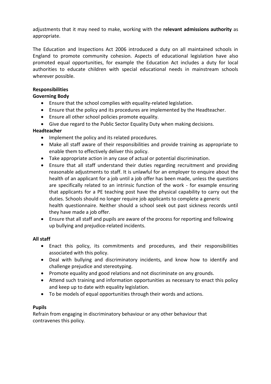adjustments that it may need to make, working with the **relevant admissions authority** as appropriate.

The Education and Inspections Act 2006 introduced a duty on all maintained schools in England to promote community cohesion. Aspects of educational legislation have also promoted equal opportunities, for example the Education Act includes a duty for local authorities to educate children with special educational needs in mainstream schools wherever possible.

#### **Responsibilities**

#### **Governing Body**

- Ensure that the school complies with equality-related legislation.
- Ensure that the policy and its procedures are implemented by the Headteacher.
- Ensure all other school policies promote equality.
- Give due regard to the Public Sector Equality Duty when making decisions.

#### **Headteacher**

- Implement the policy and its related procedures.
- Make all staff aware of their responsibilities and provide training as appropriate to enable them to effectively deliver this policy.
- Take appropriate action in any case of actual or potential discrimination.
- Ensure that all staff understand their duties regarding recruitment and providing reasonable adjustments to staff. It is unlawful for an employer to enquire about the health of an applicant for a job until a job offer has been made, unless the questions are specifically related to an intrinsic function of the work - for example ensuring that applicants for a PE teaching post have the physical capability to carry out the duties. Schools should no longer require job applicants to complete a generic health questionnaire. Neither should a school seek out past sickness records until they have made a job offer.
- Ensure that all staff and pupils are aware of the process for reporting and following up bullying and prejudice-related incidents.

#### **All staff**

- Enact this policy, its commitments and procedures, and their responsibilities associated with this policy.
- Deal with bullying and discriminatory incidents, and know how to identify and challenge prejudice and stereotyping.
- Promote equality and good relations and not discriminate on any grounds.
- Attend such training and information opportunities as necessary to enact this policy and keep up to date with equality legislation.
- To be models of equal opportunities through their words and actions.

#### **Pupils**

Refrain from engaging in discriminatory behaviour or any other behaviour that contravenes this policy.